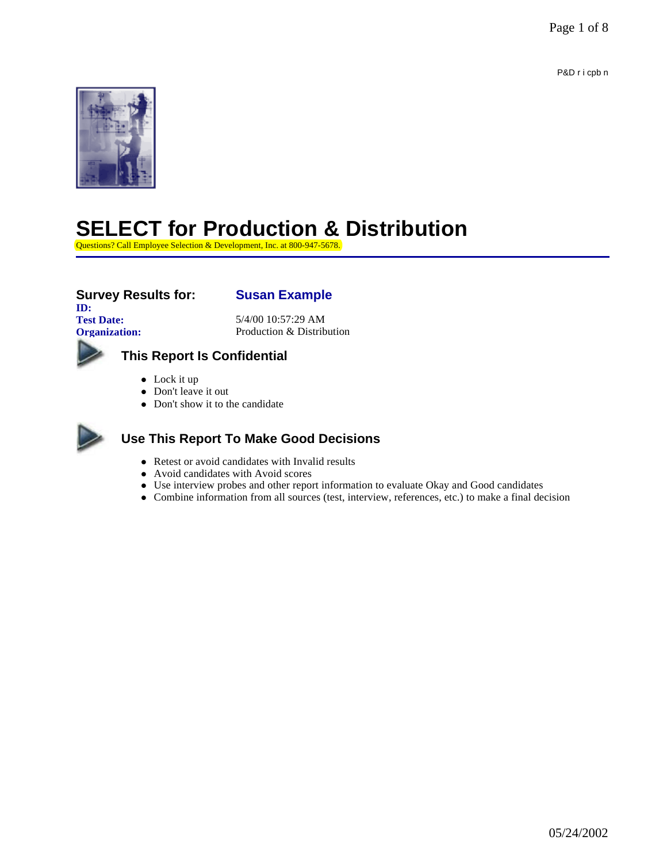P&D r i cpb n



# **SELECT for Production & Distribution**

Questions? Call Employee Selection & Development, Inc. at 800-947-5678.

### **Survey Results for: Susan Example**

**ID:**

**Test Date:** 5/4/00 10:57:29 AM **Organization:** Production & Distribution



## **This Report Is Confidential**

- $\bullet$  Lock it up
- Don't leave it out
- Don't show it to the candidate



### **Use This Report To Make Good Decisions**

- Retest or avoid candidates with Invalid results
- Avoid candidates with Avoid scores
- Use interview probes and other report information to evaluate Okay and Good candidates
- l Combine information from all sources (test, interview, references, etc.) to make a final decision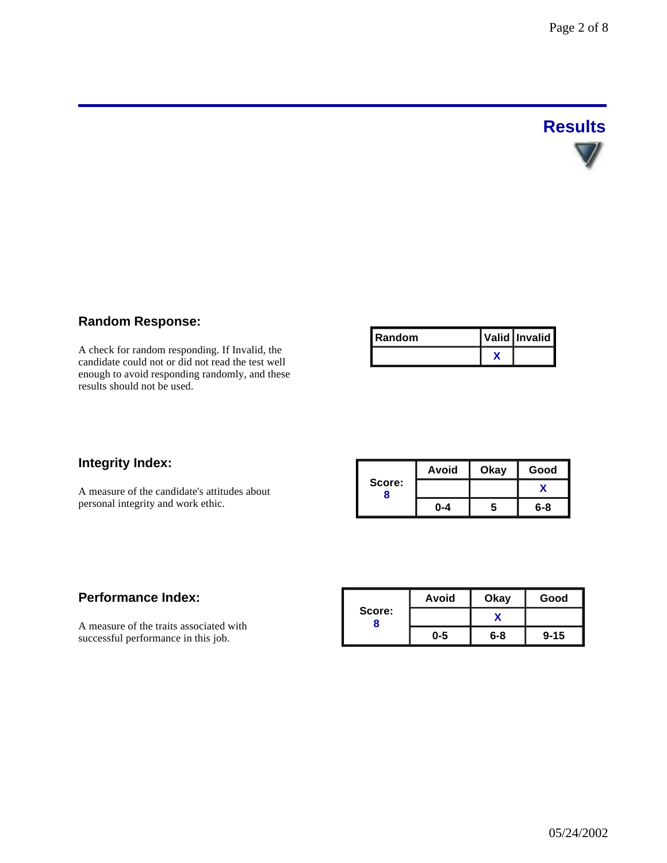# **Results**

#### **Random Response:**

A check for random responding. If Invalid, the candidate could not or did not read the test well enough to avoid responding randomly, and these results should not be used.

| <b>Random</b> | Valid Invalid |
|---------------|---------------|
|               |               |

#### **Integrity Index:**

A measure of the candidate's attitudes about personal integrity and work ethic.

|        | <b>Avoid</b> | Okay | Good |  |
|--------|--------------|------|------|--|
| Score: |              |      |      |  |
|        | በ-4          | a    | 6-8  |  |

#### **Performance Index:**

A measure of the traits associated with successful performance in this job.

|        | Avoid   | Okay    | Good     |  |
|--------|---------|---------|----------|--|
| Score: |         |         |          |  |
|        | $0 - 5$ | $6 - 8$ | $9 - 15$ |  |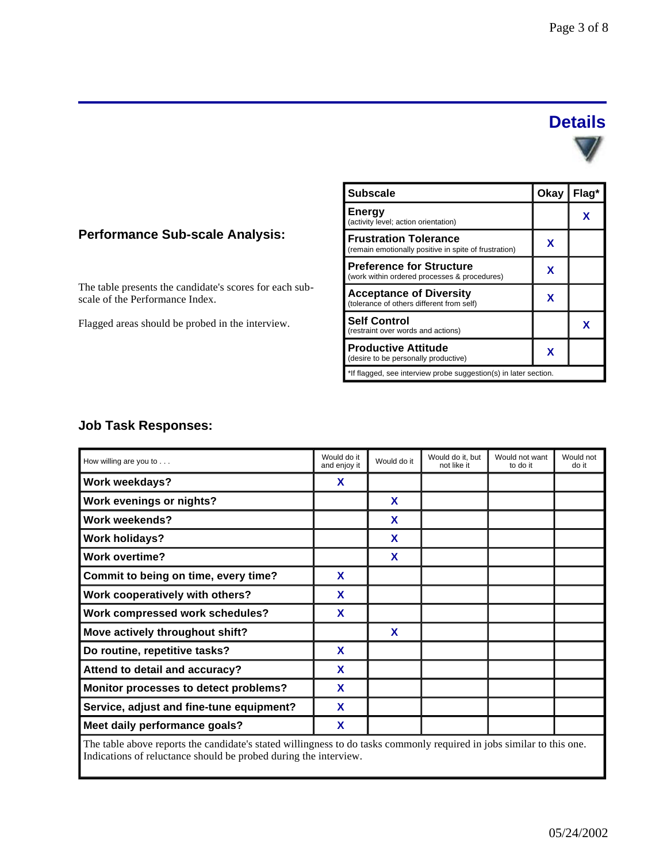# **Details**

#### **Performance Sub-scale Analysis:**

The table presents the candidate's scores for each subscale of the Performance Index.

Flagged areas should be probed in the interview.

| <b>Subscale</b>                                                                       | Okay | Flag* |
|---------------------------------------------------------------------------------------|------|-------|
| <b>Energy</b><br>(activity level; action orientation)                                 |      | x     |
| <b>Frustration Tolerance</b><br>(remain emotionally positive in spite of frustration) | x    |       |
| <b>Preference for Structure</b><br>(work within ordered processes & procedures)       | X    |       |
| <b>Acceptance of Diversity</b><br>(tolerance of others different from self)           | x    |       |
| <b>Self Control</b><br>(restraint over words and actions)                             |      | x     |
| <b>Productive Attitude</b><br>(desire to be personally productive)                    | X    |       |
| *If flagged, see interview probe suggestion(s) in later section.                      |      |       |

#### **Job Task Responses:**

| How willing are you to $\ldots$          | Would do it<br>and enjoy it | Would do it | Would do it, but<br>not like it | Would not want<br>to do it | Would not<br>do it |
|------------------------------------------|-----------------------------|-------------|---------------------------------|----------------------------|--------------------|
| <b>Work weekdays?</b>                    | X                           |             |                                 |                            |                    |
| Work evenings or nights?                 |                             | X           |                                 |                            |                    |
| <b>Work weekends?</b>                    |                             | X           |                                 |                            |                    |
| <b>Work holidays?</b>                    |                             | X           |                                 |                            |                    |
| <b>Work overtime?</b>                    |                             | X           |                                 |                            |                    |
| Commit to being on time, every time?     | X                           |             |                                 |                            |                    |
| Work cooperatively with others?          | X                           |             |                                 |                            |                    |
| Work compressed work schedules?          | X                           |             |                                 |                            |                    |
| Move actively throughout shift?          |                             | X           |                                 |                            |                    |
| Do routine, repetitive tasks?            | X                           |             |                                 |                            |                    |
| Attend to detail and accuracy?           | X                           |             |                                 |                            |                    |
| Monitor processes to detect problems?    | X                           |             |                                 |                            |                    |
| Service, adjust and fine-tune equipment? | X                           |             |                                 |                            |                    |
| Meet daily performance goals?            | X                           |             |                                 |                            |                    |
|                                          |                             |             |                                 |                            |                    |

The table above reports the candidate's stated willingness to do tasks commonly required in jobs similar to this one. Indications of reluctance should be probed during the interview.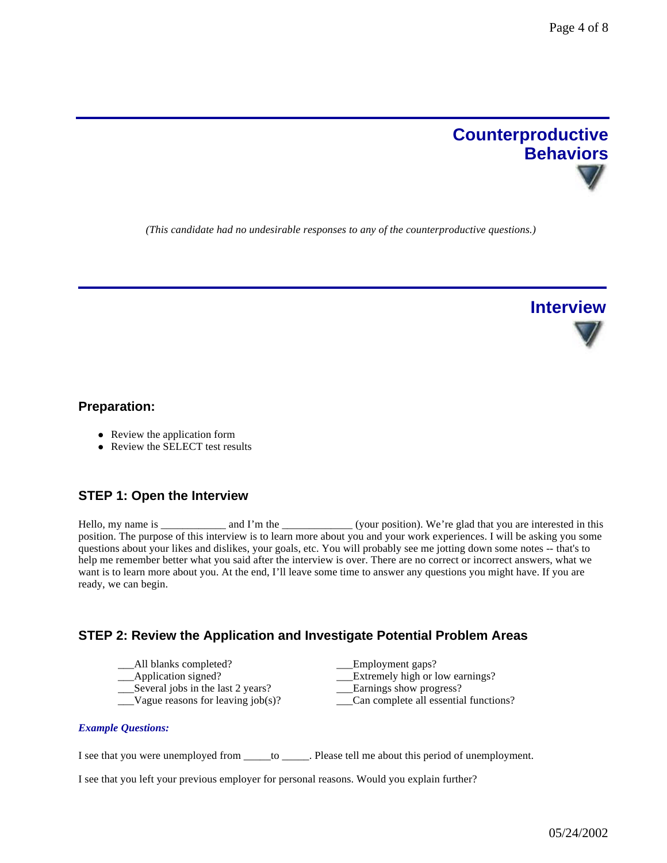

*(This candidate had no undesirable responses to any of the counterproductive questions.)*



#### **Preparation:**

- Review the application form
- $\bullet$  Review the SELECT test results

#### **STEP 1: Open the Interview**

Hello, my name is \_\_\_\_\_\_\_\_\_\_\_ and I'm the \_\_\_\_\_\_\_\_\_\_\_\_\_(your position). We're glad that you are interested in this position. The purpose of this interview is to learn more about you and your work experiences. I will be asking you some questions about your likes and dislikes, your goals, etc. You will probably see me jotting down some notes -- that's to help me remember better what you said after the interview is over. There are no correct or incorrect answers, what we want is to learn more about you. At the end, I'll leave some time to answer any questions you might have. If you are ready, we can begin.

Can complete all essential functions?

#### **STEP 2: Review the Application and Investigate Potential Problem Areas**

\_\_\_All blanks completed? \_\_\_Employment gaps? \_\_\_Application signed? \_\_\_Extremely high or low earnings? Several jobs in the last 2 years?<br>
Vague reasons for leaving job(s)?<br>
Can complete all essentia

*Example Questions:*

I see that you were unemployed from \_\_\_\_\_to \_\_\_\_\_. Please tell me about this period of unemployment.

I see that you left your previous employer for personal reasons. Would you explain further?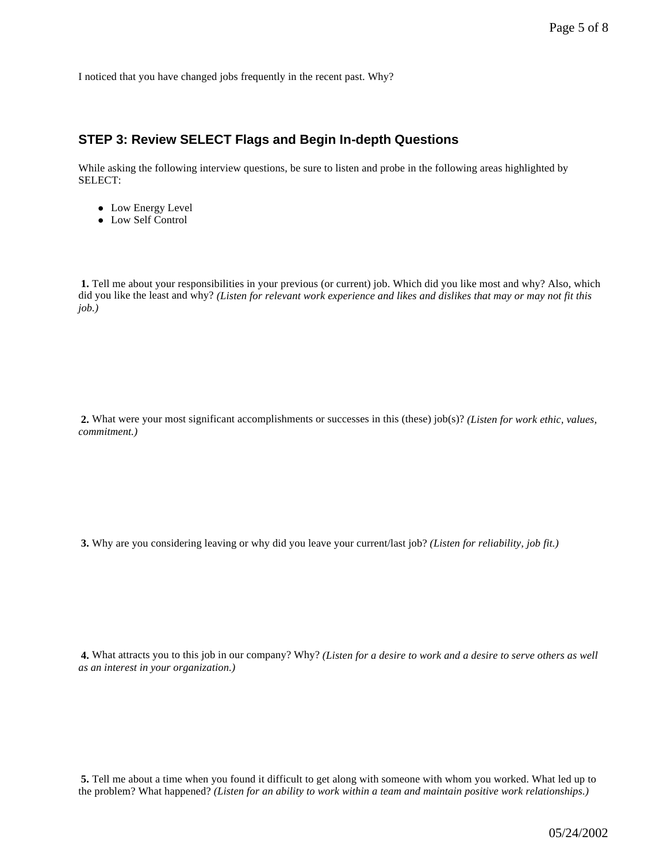I noticed that you have changed jobs frequently in the recent past. Why?

#### **STEP 3: Review SELECT Flags and Begin In-depth Questions**

While asking the following interview questions, be sure to listen and probe in the following areas highlighted by SELECT:

- Low Energy Level
- Low Self Control

**1.** Tell me about your responsibilities in your previous (or current) job. Which did you like most and why? Also, which did you like the least and why? *(Listen for relevant work experience and likes and dislikes that may or may not fit this job.)*

**2.** What were your most significant accomplishments or successes in this (these) job(s)? *(Listen for work ethic, values, commitment.)*

**3.** Why are you considering leaving or why did you leave your current/last job? *(Listen for reliability, job fit.)*

**4.** What attracts you to this job in our company? Why? *(Listen for a desire to work and a desire to serve others as well as an interest in your organization.)*

**5.** Tell me about a time when you found it difficult to get along with someone with whom you worked. What led up to the problem? What happened? *(Listen for an ability to work within a team and maintain positive work relationships.)*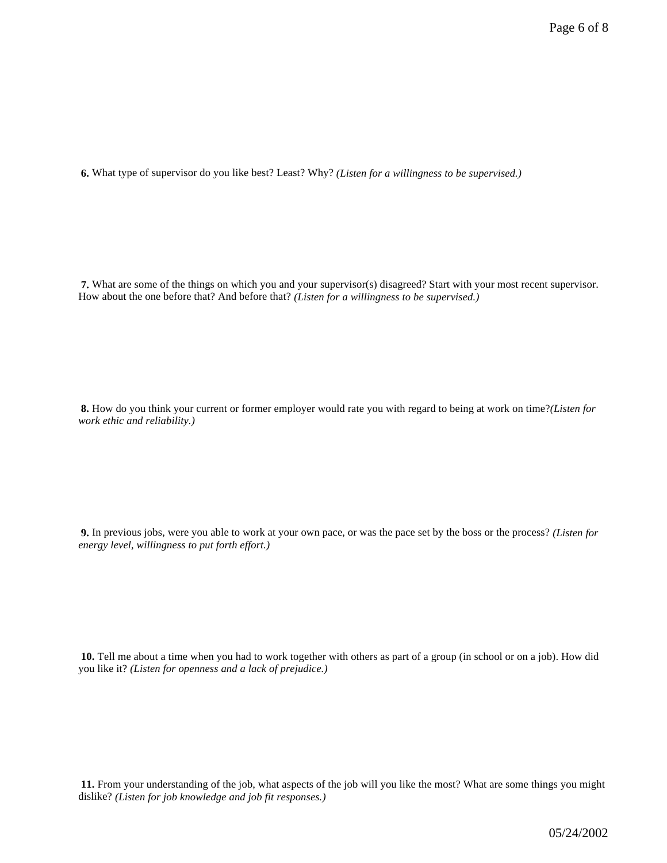**6.** What type of supervisor do you like best? Least? Why? *(Listen for a willingness to be supervised.)*

**7.** What are some of the things on which you and your supervisor(s) disagreed? Start with your most recent supervisor. How about the one before that? And before that? *(Listen for a willingness to be supervised.)*

**8.** How do you think your current or former employer would rate you with regard to being at work on time?*(Listen for work ethic and reliability.)*

**9.** In previous jobs, were you able to work at your own pace, or was the pace set by the boss or the process? *(Listen for energy level, willingness to put forth effort.)*

**10.** Tell me about a time when you had to work together with others as part of a group (in school or on a job). How did you like it? *(Listen for openness and a lack of prejudice.)*

**11.** From your understanding of the job, what aspects of the job will you like the most? What are some things you might dislike? *(Listen for job knowledge and job fit responses.)*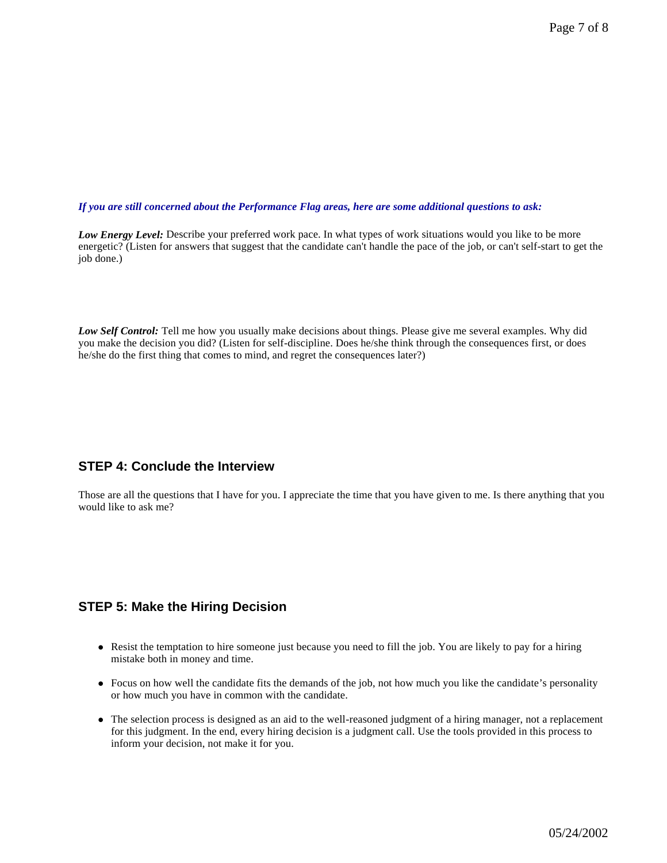#### *If you are still concerned about the Performance Flag areas, here are some additional questions to ask:*

*Low Energy Level:* Describe your preferred work pace. In what types of work situations would you like to be more energetic? (Listen for answers that suggest that the candidate can't handle the pace of the job, or can't self-start to get the job done.)

*Low Self Control:* Tell me how you usually make decisions about things. Please give me several examples. Why did you make the decision you did? (Listen for self-discipline. Does he/she think through the consequences first, or does he/she do the first thing that comes to mind, and regret the consequences later?)

#### **STEP 4: Conclude the Interview**

Those are all the questions that I have for you. I appreciate the time that you have given to me. Is there anything that you would like to ask me?

#### **STEP 5: Make the Hiring Decision**

- Resist the temptation to hire someone just because you need to fill the job. You are likely to pay for a hiring mistake both in money and time.
- Focus on how well the candidate fits the demands of the job, not how much you like the candidate's personality or how much you have in common with the candidate.
- l The selection process is designed as an aid to the well-reasoned judgment of a hiring manager, not a replacement for this judgment. In the end, every hiring decision is a judgment call. Use the tools provided in this process to inform your decision, not make it for you.